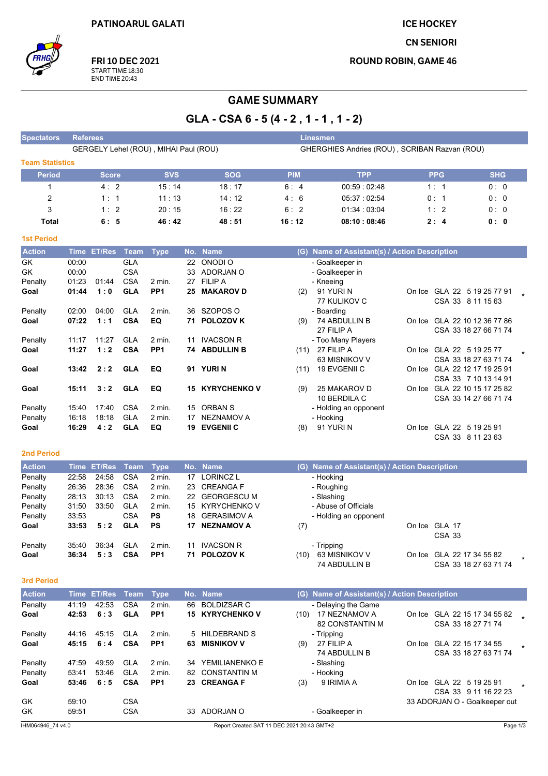**ICE HOCKEY** 

**CN SENIORI** 

**ROUND ROBIN, GAME 46** 



FRI 10 DEC 2021 START TIME 18:30<br>END TIME 20:43

# **GAME SUMMARY**

GLA - CSA 6 - 5 (4 - 2, 1 - 1, 1 - 2)

| <b>Spectators</b>      | <b>Referees</b>                       |            |            | <b>Linesmen</b> |                                               |            |            |
|------------------------|---------------------------------------|------------|------------|-----------------|-----------------------------------------------|------------|------------|
|                        | GERGELY Lehel (ROU), MIHAI Paul (ROU) |            |            |                 | GHERGHIES Andries (ROU), SCRIBAN Razvan (ROU) |            |            |
| <b>Team Statistics</b> |                                       |            |            |                 |                                               |            |            |
| <b>Period</b>          | <b>Score</b>                          | <b>SVS</b> | <b>SOG</b> | <b>PIM</b>      | <b>TPP</b>                                    | <b>PPG</b> | <b>SHG</b> |
|                        | 4:2                                   | 15:14      | 18:17      | 6:4             | 00.59:02.48                                   | 1:1        | 0:0        |
| 2                      | 1:1                                   | 11:13      | 14:12      | 4:6             | 05:37:02:54                                   | 0:1        | 0:0        |
| 3                      | 1:2                                   | 20:15      | 16:22      | 6:2             | 01:34 : 03:04                                 | 1:2        | 0:0        |
| <b>Total</b>           | 6: 5                                  | 46:42      | 48:51      | 16:12           | 08:10:08:46                                   | 2:4        | 0: 0       |

#### **1st Period**

| <b>Action</b> | Time  | <b>ET/Res</b> | Team       | <b>Type</b>     |     | No. Name            | (G)  | Name of Assistant(s) / Action Description |        |                       |  |
|---------------|-------|---------------|------------|-----------------|-----|---------------------|------|-------------------------------------------|--------|-----------------------|--|
| GK            | 00:00 |               | <b>GLA</b> |                 | 22  | ONODI O             |      | - Goalkeeper in                           |        |                       |  |
| GK            | 00:00 |               | <b>CSA</b> |                 | 33  | ADORJAN O           |      | - Goalkeeper in                           |        |                       |  |
| Penalty       | 01:23 | 01:44         | <b>CSA</b> | $2$ min.        | 27  | <b>FILIP A</b>      |      | - Kneeing                                 |        |                       |  |
| Goal          | 01:44 | 1:0           | <b>GLA</b> | PP <sub>1</sub> | 25  | <b>MAKAROV D</b>    | (2)  | 91 YURI N                                 | On Ice | GLA 22 5 19 25 77 91  |  |
|               |       |               |            |                 |     |                     |      | 77 KULIKOV C                              |        | CSA 33 8 11 15 63     |  |
| Penalty       | 02:00 | 04:00         | <b>GLA</b> | $2$ min.        | 36  | SZOPOS O            |      | - Boarding                                |        |                       |  |
| Goal          | 07:22 | 1:1           | <b>CSA</b> | EQ              | 71. | <b>POLOZOV K</b>    | (9)  | 74 ABDULLIN B                             | On Ice | GLA 22 10 12 36 77 86 |  |
|               |       |               |            |                 |     |                     |      | 27 FILIP A                                |        | CSA 33 18 27 66 71 74 |  |
| Penalty       | 11:17 | 11:27         | <b>GLA</b> | $2$ min.        | 11  | <b>IVACSON R</b>    |      | - Too Many Players                        |        |                       |  |
| Goal          | 11:27 | 1:2           | <b>CSA</b> | PP <sub>1</sub> | 74  | <b>ABDULLIN B</b>   | (11) | 27 FILIP A                                | On Ice | GLA 22 5 19 25 77     |  |
|               |       |               |            |                 |     |                     |      | 63 MISNIKOV V                             |        | CSA 33 18 27 63 71 74 |  |
| Goal          | 13:42 | 2:2           | <b>GLA</b> | EQ              |     | 91 YURIN            | (11) | 19 EVGENII C                              | On Ice | GLA 22 12 17 19 25 91 |  |
|               |       |               |            |                 |     |                     |      |                                           |        | CSA 33 7 10 13 14 91  |  |
| Goal          | 15:11 | 3:2           | <b>GLA</b> | EQ              | 15  | <b>KYRYCHENKO V</b> | (9)  | 25 MAKAROV D                              | On Ice | GLA 22 10 15 17 25 82 |  |
|               |       |               |            |                 |     |                     |      | 10 BERDILA C                              |        | CSA 33 14 27 66 71 74 |  |
| Penalty       | 15:40 | 17:40         | <b>CSA</b> | $2$ min.        | 15  | <b>ORBAN S</b>      |      | - Holding an opponent                     |        |                       |  |
| Penalty       | 16:18 | 18:18         | <b>GLA</b> | 2 min.          | 17  | <b>NEZNAMOV A</b>   |      | - Hooking                                 |        |                       |  |
| Goal          | 16:29 | 4:2           | <b>GLA</b> | EQ              | 19  | <b>EVGENII C</b>    | (8)  | 91 YURI N                                 | On Ice | GLA 22 5 19 25 91     |  |
|               |       |               |            |                 |     |                     |      |                                           |        | CSA 33 8 11 23 63     |  |

#### 2nd Period

| <b>Action</b> |       | <u>'Time</u> ET/Res Team, |            | Type            |     | No. Name           |      | (G) Name of Assistant(s) / Action Description |        |                       |  |
|---------------|-------|---------------------------|------------|-----------------|-----|--------------------|------|-----------------------------------------------|--------|-----------------------|--|
| Penalty       | 22:58 | 24.58                     | <b>CSA</b> | 2 min.          | 17  | LORINCZ L          |      | - Hooking                                     |        |                       |  |
| Penalty       | 26:36 | 28:36                     | <b>CSA</b> | $2$ min.        | 23  | <b>CREANGA F</b>   |      | - Roughing                                    |        |                       |  |
| Penalty       | 28:13 | 30.13                     | <b>CSA</b> | $2$ min.        | 22  | <b>GEORGESCU M</b> |      | - Slashing                                    |        |                       |  |
| Penalty       | 31:50 | 33.50                     | <b>GLA</b> | 2 min.          | 15  | KYRYCHENKO V       |      | - Abuse of Officials                          |        |                       |  |
| Penalty       | 33:53 |                           | CSA        | <b>PS</b>       | 18  | <b>GERASIMOV A</b> |      | - Holding an opponent                         |        |                       |  |
| Goal          | 33:53 | 5:2                       | <b>GLA</b> | <b>PS</b>       | 17  | <b>NEZNAMOV A</b>  | (7)  |                                               |        | On Ice GLA 17         |  |
|               |       |                           |            |                 |     |                    |      |                                               |        | CSA 33                |  |
| Penalty       | 35:40 | 36.34                     | <b>GLA</b> | 2 min.          | 11  | <b>IVACSON R</b>   |      | - Tripping                                    |        |                       |  |
| Goal          | 36:34 | 5:3                       | <b>CSA</b> | PP <sub>1</sub> | 71. | <b>POLOZOV K</b>   | (10) | 63 MISNIKOV V                                 | On Ice | GLA 22 17 34 55 82    |  |
|               |       |                           |            |                 |     |                    |      | 74 ABDULLIN B                                 |        | CSA 33 18 27 63 71 74 |  |

#### 3rd Period

| <b>Action</b> | <b>Time</b> | <b>ET/Res</b> | Team       | <b>Type</b>     |     | No. Name               |      | (G) Name of Assistant(s) / Action Description |        |                                                    |  |
|---------------|-------------|---------------|------------|-----------------|-----|------------------------|------|-----------------------------------------------|--------|----------------------------------------------------|--|
| Penalty       | 41:19       | 42:53         | <b>CSA</b> | $2$ min.        | 66  | <b>BOLDIZSAR C</b>     |      | - Delaying the Game                           |        |                                                    |  |
| Goal          | 42:53       | 6:3           | <b>GLA</b> | PP <sub>1</sub> |     | <b>15 KYRYCHENKO V</b> | (10) | 17 NEZNAMOV A<br>82 CONSTANTIN M              |        | On Ice GLA 22 15 17 34 55 82<br>CSA 33 18 27 71 74 |  |
| Penalty       | 44:16       | 45:15         | <b>GLA</b> | 2 min.          |     | 5 HILDEBRAND S         |      | - Tripping                                    |        |                                                    |  |
| Goal          | 45:15       | 6:4           | <b>CSA</b> | PP <sub>1</sub> | 63. | <b>MISNIKOV V</b>      | (9)  | 27 FILIP A<br>74 ABDULLIN B                   |        | On Ice GLA 22 15 17 34 55<br>CSA 33 18 27 63 71 74 |  |
| Penalty       | 47:59       | 49.59         | <b>GLA</b> | $2$ min.        | 34  | YEMILIANENKO E         |      | - Slashing                                    |        |                                                    |  |
| Penalty       | 53:41       | 53:46         | <b>GLA</b> | $2$ min.        |     | 82 CONSTANTIN M        |      | - Hooking                                     |        |                                                    |  |
| Goal          | 53:46       | 6:5           | <b>CSA</b> | PP <sub>1</sub> |     | 23 CREANGA F           | (3)  | 9 IRIMIA A                                    | On Ice | GLA 22 5 19 25 91<br>CSA 33 9 11 16 22 23          |  |
| GK            | 59.10       |               | <b>CSA</b> |                 |     |                        |      |                                               |        | 33 ADORJAN O - Goalkeeper out                      |  |
| <b>GK</b>     | 59:51       |               | <b>CSA</b> |                 | 33  | ADORJAN O              |      | - Goalkeeper in                               |        |                                                    |  |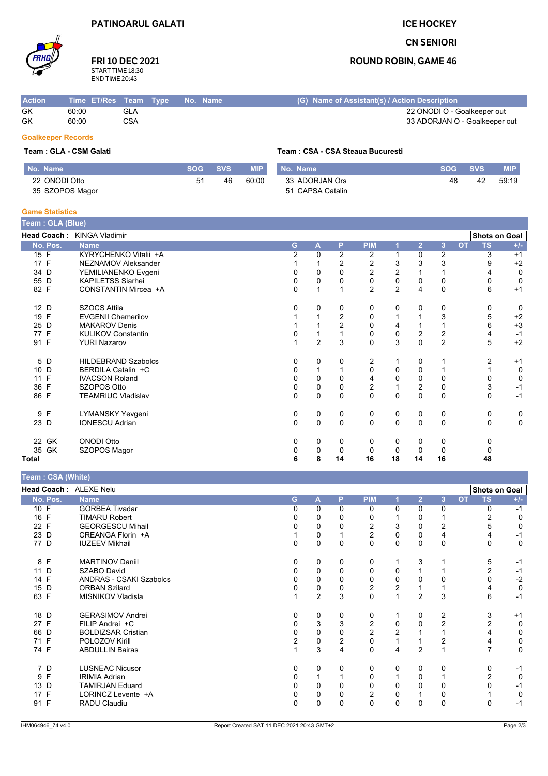### **ICE HOCKEY**

## **CN SENIORI**

## **ROUND ROBIN, GAME 46**

# FRI 10 DEC 2021 START TIME 18:30<br>END TIME 20:43

| <b>Action</b> | Time ET/Res Team Type No. Name |     |  | (G) Name of Assistant(s) / Action Description |
|---------------|--------------------------------|-----|--|-----------------------------------------------|
| GK            | 60:00                          | GLA |  | 22 ONODI O - Goalkeeper out                   |
| GK            | 60:00                          | CSA |  | 33 ADORJAN O - Goalkeeper out                 |

## **Goalkeeper Records**

### Team: GLA - CSM Galati

| No. Name        | <b>SOG</b> | <b>SVS</b> | <b>MIP</b> | No. Name         | <b>SOG</b> | <b>SVS</b> | <b>MIP</b> |
|-----------------|------------|------------|------------|------------------|------------|------------|------------|
| 22 ONODI Otto   | 51         | 46         | 60:00      | 33 ADORJAN Ors   | 48         | 42         | 59:19      |
| 35 SZOPOS Magor |            |            |            | 51 CAPSA Catalin |            |            |            |

Team: CSA - CSA Steaua Bucuresti

### **Game Statistics**

| Team: GLA (Blue) |                            |                |                |                |                |           |                  |               |           |                      |             |
|------------------|----------------------------|----------------|----------------|----------------|----------------|-----------|------------------|---------------|-----------|----------------------|-------------|
|                  | Head Coach: KINGA Vladimir |                |                |                |                |           |                  |               |           | <b>Shots on Goal</b> |             |
| No. Pos.         | <b>Name</b>                | G              | A              | P              | <b>PIM</b>     |           | $\overline{2}$   | 3             | <b>OT</b> | <b>TS</b>            | $+/-$       |
| 15 F             | KYRYCHENKO Vitalii +A      | $\overline{2}$ | $\Omega$       | $\overline{2}$ | 2              | 1         | 0                | 2             |           | 3                    | $+1$        |
| 17 F             | NEZNAMOV Aleksander        |                |                | 2              | 2              | 3         | 3                | 3             |           | 9                    | $+2$        |
| 34 D             | YEMILIANENKO Evgeni        | 0              | 0              | 0              | $\sqrt{2}$     | 2         |                  |               |           |                      | 0           |
| 55 D             | <b>KAPILETSS Siarhei</b>   | 0              | 0              | 0              | $\mathbf 0$    | $\pmb{0}$ | 0                | 0             |           | 0                    | 0           |
| 82 F             | CONSTANTIN Mircea +A       | 0              | 1              |                | $\overline{2}$ | 2         | 4                | $\mathbf 0$   |           | 6                    | $+1$        |
| 12 D             | <b>SZOCS Attila</b>        | 0              | 0              | 0              | 0              | 0         | 0                | 0             |           | 0                    | 0           |
| 19 F             | <b>EVGENII Chemerilov</b>  |                |                | $\overline{2}$ | 0              |           |                  | 3             |           | 5                    | $+2$        |
| 25 D             | <b>MAKAROV Denis</b>       |                |                | 2              | $\mathbf 0$    | 4         |                  |               |           | 6                    | $+3$        |
| 77 F             | <b>KULIKOV Constantin</b>  |                |                |                | $\mathbf 0$    | 0         | $\boldsymbol{2}$ | $\frac{2}{2}$ |           | 4                    | $-1$        |
| 91 F             | <b>YURI Nazarov</b>        |                | $\overline{2}$ | 3              | $\mathbf{0}$   | 3         | $\overline{0}$   |               |           | 5                    | $+2$        |
| 5 D              | <b>HILDEBRAND Szabolcs</b> | 0              | 0              | 0              | 2              |           | 0                |               |           | 2                    | $+1$        |
| 10 D             | BERDILA Catalin +C         | 0              |                |                | 0              | 0         | 0                |               |           |                      | 0           |
| 11 F             | <b>IVACSON Roland</b>      | 0              | 0              | 0              | 4              | 0         | 0                | $\mathbf 0$   |           |                      | 0           |
| 36 F             | SZOPOS Otto                | 0              | 0              | $\Omega$       | $\overline{2}$ |           | $\overline{2}$   | $\mathbf 0$   |           | 3                    | $-1$        |
| 86 F             | <b>TEAMRIUC Vladislav</b>  | 0              | 0              | $\mathbf{0}$   | $\mathbf 0$    | $\Omega$  | $\Omega$         | $\mathbf 0$   |           | $\Omega$             | $-1$        |
| 9 F              | <b>LYMANSKY Yevgeni</b>    | 0              | 0              | 0              | 0              | 0         | 0                | 0             |           | 0                    | 0           |
| 23 D             | <b>IONESCU Adrian</b>      | $\Omega$       | 0              | $\mathbf 0$    | $\Omega$       | $\Omega$  | 0                | $\mathbf 0$   |           | $\Omega$             | $\mathbf 0$ |
| 22 GK            | <b>ONODI Otto</b>          | 0              | 0              | 0              | 0              | 0         | 0                | 0             |           | 0                    |             |
| 35 GK            | SZOPOS Magor               | 0              | $\mathbf 0$    | 0              | 0              | 0         | $\mathbf 0$      | $\mathbf 0$   |           | 0                    |             |
| Total            |                            | 6              | 8              | 14             | 16             | 18        | 14               | 16            |           | 48                   |             |

Team: CSA (White)

| $1$ vant $1$ von $($ $\ldots$ $\ldots$ |                                |                |                |   |                |                |                |                |           |                      |       |
|----------------------------------------|--------------------------------|----------------|----------------|---|----------------|----------------|----------------|----------------|-----------|----------------------|-------|
| Head Coach: ALEXE Nelu                 |                                |                |                |   |                |                |                |                |           | <b>Shots on Goal</b> |       |
| No. Pos.                               | <b>Name</b>                    | G.             | A              | P | <b>PIM</b>     |                | $\overline{2}$ | 3              | <b>OT</b> | <b>TS</b>            | $+/-$ |
| 10 F                                   | <b>GORBEA Tivadar</b>          | $\Omega$       | $\Omega$       | 0 | 0              | $\Omega$       | 0              | 0              |           | $\Omega$             | $-1$  |
| 16 F                                   | <b>TIMARU Robert</b>           | 0              | 0              |   | 0              |                | 0              |                |           |                      | 0     |
| 22 F                                   | <b>GEORGESCU Mihail</b>        | 0              | 0              | 0 | 2              | 3              | 0              | $\overline{2}$ |           | 5                    | 0     |
| 23 D                                   | CREANGA Florin +A              |                | 0              |   | $\overline{2}$ | $\Omega$       | $\Omega$       | 4              |           |                      | $-1$  |
| 77 D                                   | <b>IUZEEV Mikhail</b>          | 0              | 0              | 0 | 0              | 0              | 0              | 0              |           | 0                    | 0     |
| 8 F                                    | <b>MARTINOV Daniil</b>         | 0              | 0              | 0 | 0              |                | 3              |                |           | 5                    | $-1$  |
| 11 D                                   | SZABO David                    | 0              | 0              | 0 | 0              | 0              |                |                |           | 2                    | $-1$  |
| 14 F                                   | <b>ANDRAS - CSAKI Szabolcs</b> | $\Omega$       | 0              | ŋ | 0              | 0              | 0              | 0              |           | 0                    | $-2$  |
| 15 D                                   | <b>ORBAN Szilard</b>           | 0              | 0              | 0 | $\overline{c}$ | $\overline{c}$ |                |                |           | 4                    | 0     |
| 63 F                                   | <b>MISNIKOV Vladisla</b>       |                | $\overline{c}$ | 3 | 0              |                | $\overline{2}$ | 3              |           | 6                    | $-1$  |
| 18 D                                   | <b>GERASIMOV Andrei</b>        | 0              | 0              | 0 | 0              |                | 0              | 2              |           | 3                    | $+1$  |
| 27 F                                   | FILIP Andrei +C                | $\Omega$       | 3              | 3 | 2              | 0              | $\Omega$       | $\overline{2}$ |           |                      | 0     |
| 66 D                                   | <b>BOLDIZSAR Cristian</b>      | 0              | 0              | 0 | 2              | 2              |                |                |           |                      | 0     |
| 71 F                                   | POLOZOV Kirill                 | $\overline{2}$ | 0              | 2 | 0              |                |                | $\overline{2}$ |           |                      | 0     |
| 74 F                                   | <b>ABDULLIN Bairas</b>         |                | 3              | 4 | 0              | 4              | $\overline{2}$ |                |           | 7                    | 0     |
| 7 D                                    | <b>LUSNEAC Nicusor</b>         | 0              | 0              | 0 | 0              | 0              | 0              | 0              |           | 0                    | $-1$  |
| 9 F                                    | <b>IRIMIA Adrian</b>           | $\Omega$       |                |   | $\Omega$       |                | $\Omega$       |                |           | 2                    | 0     |
| 13 D                                   | <b>TAMIRJAN Eduard</b>         | <sup>0</sup>   | $\Omega$       |   | $\Omega$       | 0              | 0              | 0              |           | n                    | -1    |
| 17 F                                   | LORINCZ Levente +A             | 0              | 0              | 0 | $\overline{2}$ | 0              |                | 0              |           |                      | 0     |
| 91 F                                   | RADU Claudiu                   | $\Omega$       | 0              | 0 | 0              | 0              | 0              | $\mathbf 0$    |           | 0                    | $-1$  |